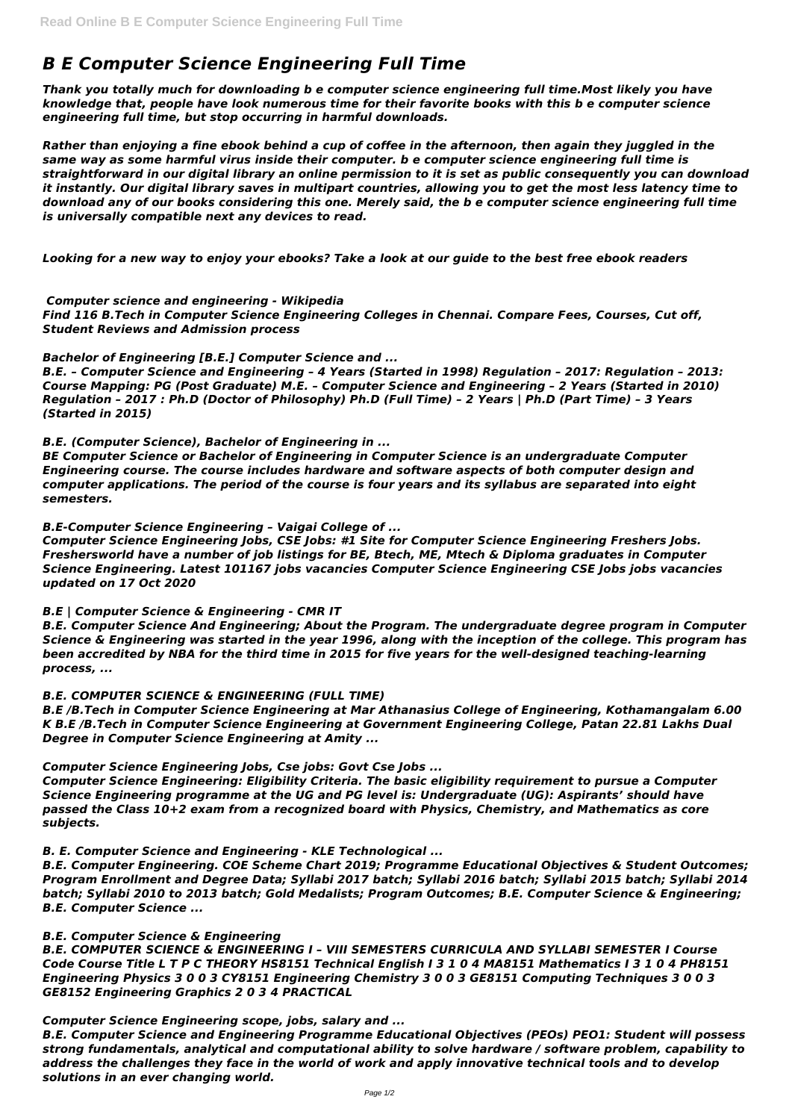# *B E Computer Science Engineering Full Time*

*Thank you totally much for downloading b e computer science engineering full time.Most likely you have knowledge that, people have look numerous time for their favorite books with this b e computer science engineering full time, but stop occurring in harmful downloads.*

*Rather than enjoying a fine ebook behind a cup of coffee in the afternoon, then again they juggled in the same way as some harmful virus inside their computer. b e computer science engineering full time is straightforward in our digital library an online permission to it is set as public consequently you can download it instantly. Our digital library saves in multipart countries, allowing you to get the most less latency time to download any of our books considering this one. Merely said, the b e computer science engineering full time is universally compatible next any devices to read.*

*Looking for a new way to enjoy your ebooks? Take a look at our guide to the best free ebook readers*

# *Computer science and engineering - Wikipedia*

*Find 116 B.Tech in Computer Science Engineering Colleges in Chennai. Compare Fees, Courses, Cut off, Student Reviews and Admission process*

#### *Bachelor of Engineering [B.E.] Computer Science and ...*

*B.E. – Computer Science and Engineering – 4 Years (Started in 1998) Regulation – 2017: Regulation – 2013: Course Mapping: PG (Post Graduate) M.E. – Computer Science and Engineering – 2 Years (Started in 2010) Regulation – 2017 : Ph.D (Doctor of Philosophy) Ph.D (Full Time) – 2 Years | Ph.D (Part Time) – 3 Years (Started in 2015)*

# *B.E. (Computer Science), Bachelor of Engineering in ...*

*BE Computer Science or Bachelor of Engineering in Computer Science is an undergraduate Computer Engineering course. The course includes hardware and software aspects of both computer design and computer applications. The period of the course is four years and its syllabus are separated into eight semesters.*

# *B.E-Computer Science Engineering – Vaigai College of ...*

*Computer Science Engineering Jobs, CSE Jobs: #1 Site for Computer Science Engineering Freshers Jobs. Freshersworld have a number of job listings for BE, Btech, ME, Mtech & Diploma graduates in Computer Science Engineering. Latest 101167 jobs vacancies Computer Science Engineering CSE Jobs jobs vacancies updated on 17 Oct 2020*

# *B.E | Computer Science & Engineering - CMR IT*

*B.E. Computer Science And Engineering; About the Program. The undergraduate degree program in Computer Science & Engineering was started in the year 1996, along with the inception of the college. This program has been accredited by NBA for the third time in 2015 for five years for the well-designed teaching-learning process, ...*

# *B.E. COMPUTER SCIENCE & ENGINEERING (FULL TIME)*

*B.E /B.Tech in Computer Science Engineering at Mar Athanasius College of Engineering, Kothamangalam 6.00 K B.E /B.Tech in Computer Science Engineering at Government Engineering College, Patan 22.81 Lakhs Dual Degree in Computer Science Engineering at Amity ...*

# *Computer Science Engineering Jobs, Cse jobs: Govt Cse Jobs ...*

*Computer Science Engineering: Eligibility Criteria. The basic eligibility requirement to pursue a Computer Science Engineering programme at the UG and PG level is: Undergraduate (UG): Aspirants' should have passed the Class 10+2 exam from a recognized board with Physics, Chemistry, and Mathematics as core subjects.*

*B. E. Computer Science and Engineering - KLE Technological ...*

*B.E. Computer Engineering. COE Scheme Chart 2019; Programme Educational Objectives & Student Outcomes; Program Enrollment and Degree Data; Syllabi 2017 batch; Syllabi 2016 batch; Syllabi 2015 batch; Syllabi 2014 batch; Syllabi 2010 to 2013 batch; Gold Medalists; Program Outcomes; B.E. Computer Science & Engineering; B.E. Computer Science ...*

#### *B.E. Computer Science & Engineering*

*B.E. COMPUTER SCIENCE & ENGINEERING I – VIII SEMESTERS CURRICULA AND SYLLABI SEMESTER I Course Code Course Title L T P C THEORY HS8151 Technical English I 3 1 0 4 MA8151 Mathematics I 3 1 0 4 PH8151 Engineering Physics 3 0 0 3 CY8151 Engineering Chemistry 3 0 0 3 GE8151 Computing Techniques 3 0 0 3 GE8152 Engineering Graphics 2 0 3 4 PRACTICAL*

#### *Computer Science Engineering scope, jobs, salary and ...*

*B.E. Computer Science and Engineering Programme Educational Objectives (PEOs) PEO1: Student will possess strong fundamentals, analytical and computational ability to solve hardware / software problem, capability to address the challenges they face in the world of work and apply innovative technical tools and to develop solutions in an ever changing world.*